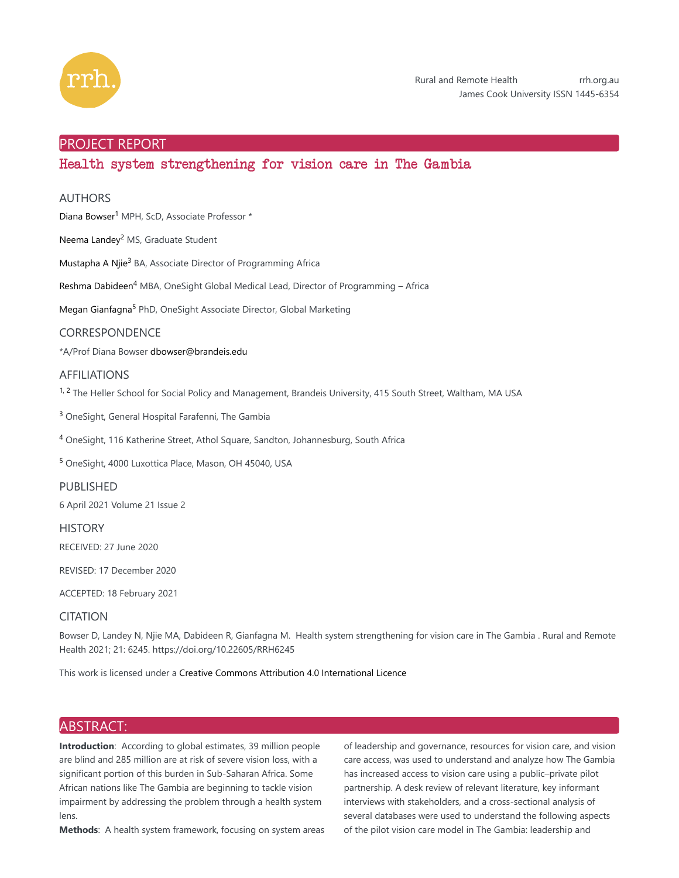

## PROJECT REPORT

# Health system strengthening for vision care in The Gambia

## AUTHORS

Diana Bowser<sup>1</sup> MPH, ScD, Associate Professor \*

Neema Landey<sup>2</sup> MS, Graduate Student

Mustapha A Njie<sup>3</sup> BA, Associate Director of Programming Africa

Reshma Dabideen<sup>4</sup> MBA, OneSight Global Medical Lead, Director of Programming - Africa

Megan Gianfagna<sup>5</sup> PhD, OneSight Associate Director, Global Marketing

## CORRESPONDENCE

\*A/Prof Diana Bowser dbowser@brandeis.edu

## AFFILIATIONS

<sup>1, 2</sup> The Heller School for Social Policy and Management, Brandeis University, 415 South Street, Waltham, MA USA

<sup>3</sup> OneSight, General Hospital Farafenni, The Gambia

<sup>4</sup> OneSight, 116 Katherine Street, Athol Square, Sandton, Johannesburg, South Africa

<sup>5</sup> OneSight, 4000 Luxottica Place, Mason, OH 45040, USA

## PUBLISHED

6 April 2021 Volume 21 Issue 2

**HISTORY** 

RECEIVED: 27 June 2020

REVISED: 17 December 2020

ACCEPTED: 18 February 2021

## CITATION

Bowser D, Landey N, Njie MA, Dabideen R, Gianfagna M. Health system strengthening for vision care in The Gambia . Rural and Remote Health 2021; 21: 6245. https://doi.org/10.22605/RRH6245

This work is licensed under a Creative Commons Attribution 4.0 International Licence

# ABSTRACT:

**Introduction**: According to global estimates, 39 million people are blind and 285 million are at risk of severe vision loss, with a significant portion of this burden in Sub-Saharan Africa. Some African nations like The Gambia are beginning to tackle vision impairment by addressing the problem through a health system lens.

**Methods**: A health system framework, focusing on system areas

of leadership and governance, resources for vision care, and vision care access, was used to understand and analyze how The Gambia has increased access to vision care using a public–private pilot partnership. A desk review of relevant literature, key informant interviews with stakeholders, and a cross-sectional analysis of several databases were used to understand the following aspects of the pilot vision care model in The Gambia: leadership and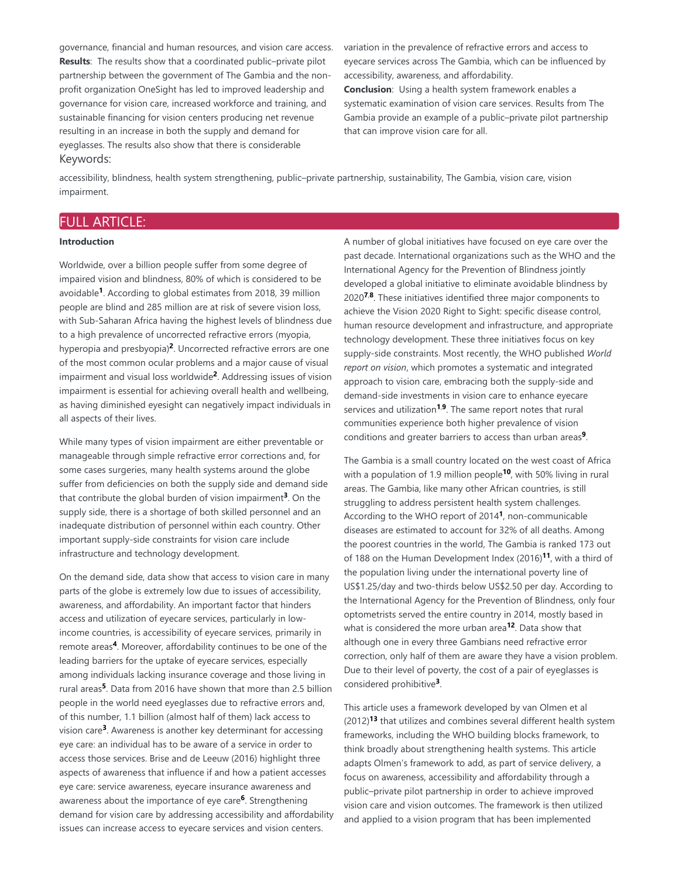governance, financial and human resources, and vision care access. **Results**: The results show that a coordinated public–private pilot partnership between the government of The Gambia and the nonprofit organization OneSight has led to improved leadership and governance for vision care, increased workforce and training, and sustainable financing for vision centers producing net revenue resulting in an increase in both the supply and demand for eyeglasses. The results also show that there is considerable Keywords:

variation in the prevalence of refractive errors and access to eyecare services across The Gambia, which can be influenced by accessibility, awareness, and affordability.

**Conclusion**: Using a health system framework enables a systematic examination of vision care services. Results from The Gambia provide an example of a public–private pilot partnership that can improve vision care for all.

accessibility, blindness, health system strengthening, public–private partnership, sustainability, The Gambia, vision care, vision impairment.

# FULL ARTICLE:

### **Introduction**

Worldwide, over a billion people suffer from some degree of impaired vision and blindness, 80% of which is considered to be avoidable<sup>1</sup>. According to global estimates from 2018, 39 million people are blind and 285 million are at risk of severe vision loss, with Sub-Saharan Africa having the highest levels of blindness due to a high prevalence of uncorrected refractive errors (myopia, hyperopia and presbyopia)<sup>2</sup>. Uncorrected refractive errors are one of the most common ocular problems and a major cause of visual impairment and visual loss worldwide<sup>2</sup>. Addressing issues of vision impairment is essential for achieving overall health and wellbeing, as having diminished eyesight can negatively impact individuals in all aspects of their lives.

While many types of vision impairment are either preventable or manageable through simple refractive error corrections and, for some cases surgeries, many health systems around the globe suffer from deficiencies on both the supply side and demand side that contribute the global burden of vision impairment<sup>3</sup>. On the supply side, there is a shortage of both skilled personnel and an inadequate distribution of personnel within each country. Other important supply-side constraints for vision care include infrastructure and technology development.

On the demand side, data show that access to vision care in many parts of the globe is extremely low due to issues of accessibility, awareness, and affordability. An important factor that hinders access and utilization of eyecare services, particularly in lowincome countries, is accessibility of eyecare services, primarily in remote areas<sup>4</sup>. Moreover, affordability continues to be one of the leading barriers for the uptake of eyecare services, especially among individuals lacking insurance coverage and those living in rural areas<sup>5</sup>. Data from 2016 have shown that more than 2.5 billion people in the world need eyeglasses due to refractive errors and, of this number, 1.1 billion (almost half of them) lack access to vision care<sup>3</sup>. Awareness is another key determinant for accessing eye care: an individual has to be aware of a service in order to access those services. Brise and de Leeuw (2016) highlight three aspects of awareness that influence if and how a patient accesses eye care: service awareness, eyecare insurance awareness and awareness about the importance of eye care<sup>6</sup>. Strengthening demand for vision care by addressing accessibility and affordability issues can increase access to eyecare services and vision centers.

A number of global initiatives have focused on eye care over the past decade. International organizations such as the WHO and the International Agency for the Prevention of Blindness jointly developed a global initiative to eliminate avoidable blindness by 2020<sup>7,8</sup>. These initiatives identified three major components to achieve the Vision 2020 Right to Sight: specific disease control, human resource development and infrastructure, and appropriate technology development. These three initiatives focus on key supply-side constraints. Most recently, the WHO published *World report on vision*, which promotes a systematic and integrated approach to vision care, embracing both the supply-side and demand-side investments in vision care to enhance eyecare services and utilization<sup>1,9</sup>. The same report notes that rural communities experience both higher prevalence of vision conditions and greater barriers to access than urban areas<sup>9</sup>.

The Gambia is a small country located on the west coast of Africa with a population of 1.9 million people<sup>10</sup>, with 50% living in rural areas. The Gambia, like many other African countries, is still struggling to address persistent health system challenges. According to the WHO report of 2014<sup>1</sup>, non-communicable diseases are estimated to account for 32% of all deaths. Among the poorest countries in the world, The Gambia is ranked 173 out of 188 on the Human Development Index (2016)<sup>11</sup>, with a third of the population living under the international poverty line of US\$1.25/day and two-thirds below US\$2.50 per day. According to the International Agency for the Prevention of Blindness, only four optometrists served the entire country in 2014, mostly based in what is considered the more urban area<sup>12</sup>. Data show that although one in every three Gambians need refractive error correction, only half of them are aware they have a vision problem. Due to their level of poverty, the cost of a pair of eyeglasses is considered prohibitive<sup>3</sup>.

This article uses a framework developed by van Olmen et al (2012)<sup>13</sup> that utilizes and combines several different health system frameworks, including the WHO building blocks framework, to think broadly about strengthening health systems. This article adapts Olmen's framework to add, as part of service delivery, a focus on awareness, accessibility and affordability through a public–private pilot partnership in order to achieve improved vision care and vision outcomes. The framework is then utilized and applied to a vision program that has been implemented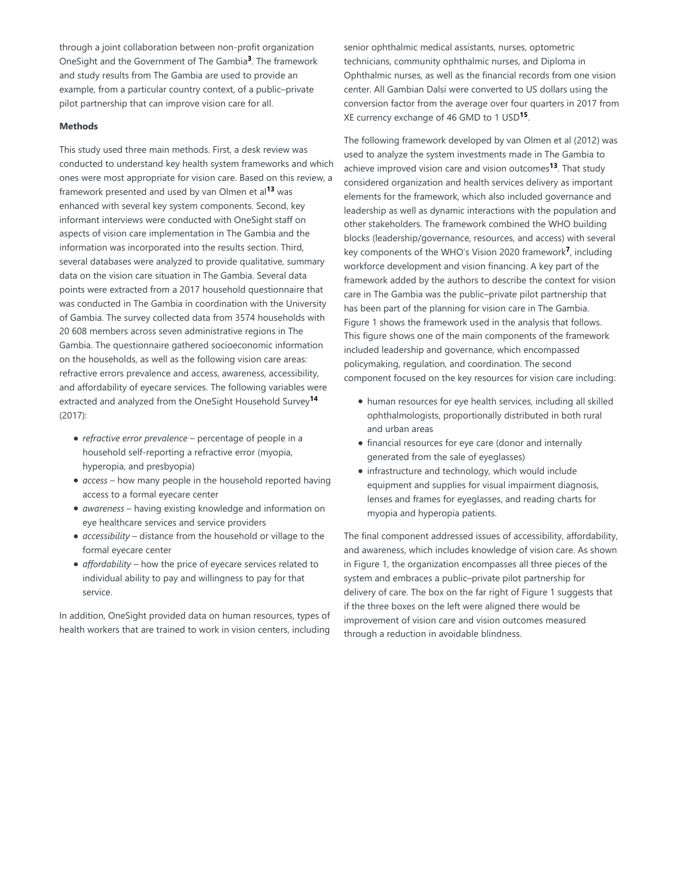through a joint collaboration between non-profit organization OneSight and the Government of The Gambia<sup>3</sup>. The framework and study results from The Gambia are used to provide an example, from a particular country context, of a public–private pilot partnership that can improve vision care for all.

### **Methods**

This study used three main methods. First, a desk review was conducted to understand key health system frameworks and which ones were most appropriate for vision care. Based on this review, a framework presented and used by van Olmen et al<sup>13</sup> was enhanced with several key system components. Second, key informant interviews were conducted with OneSight staff on aspects of vision care implementation in The Gambia and the information was incorporated into the results section. Third, several databases were analyzed to provide qualitative, summary data on the vision care situation in The Gambia. Several data points were extracted from a 2017 household questionnaire that was conducted in The Gambia in coordination with the University of Gambia. The survey collected data from 3574 households with 20 608 members across seven administrative regions in The Gambia. The questionnaire gathered socioeconomic information on the households, as well as the following vision care areas: refractive errors prevalence and access, awareness, accessibility, and affordability of eyecare services. The following variables were extracted and analyzed from the OneSight Household Survey **14** (2017):

- *refractive error prevalence* percentage of people in a household self-reporting a refractive error (myopia, hyperopia, and presbyopia)
- *access* how many people in the household reported having access to a formal eyecare center
- *awareness* having existing knowledge and information on eye healthcare services and service providers
- *accessibility* distance from the household or village to the formal eyecare center
- *affordability* how the price of eyecare services related to individual ability to pay and willingness to pay for that service.

In addition, OneSight provided data on human resources, types of health workers that are trained to work in vision centers, including

senior ophthalmic medical assistants, nurses, optometric technicians, community ophthalmic nurses, and Diploma in Ophthalmic nurses, as well as the financial records from one vision center. All Gambian Dalsi were converted to US dollars using the conversion factor from the average over four quarters in 2017 from XE currency exchange of 46 GMD to 1 USD<sup>15</sup>.

The following framework developed by van Olmen et al (2012) was used to analyze the system investments made in The Gambia to achieve improved vision care and vision outcomes<sup>13</sup>. That study considered organization and health services delivery as important elements for the framework, which also included governance and leadership as well as dynamic interactions with the population and other stakeholders. The framework combined the WHO building blocks (leadership/governance, resources, and access) with several key components of the WHO's Vision 2020 framework<sup>7</sup>, including workforce development and vision financing. A key part of the framework added by the authors to describe the context for vision care in The Gambia was the public–private pilot partnership that has been part of the planning for vision care in The Gambia. Figure 1 shows the framework used in the analysis that follows. This figure shows one of the main components of the framework included leadership and governance, which encompassed policymaking, regulation, and coordination. The second component focused on the key resources for vision care including:

- human resources for eye health services, including all skilled ophthalmologists, proportionally distributed in both rural and urban areas
- financial resources for eye care (donor and internally generated from the sale of eyeglasses)
- infrastructure and technology, which would include equipment and supplies for visual impairment diagnosis, lenses and frames for eyeglasses, and reading charts for myopia and hyperopia patients.

The final component addressed issues of accessibility, affordability, and awareness, which includes knowledge of vision care. As shown in Figure 1, the organization encompasses all three pieces of the system and embraces a public–private pilot partnership for delivery of care. The box on the far right of Figure 1 suggests that if the three boxes on the left were aligned there would be improvement of vision care and vision outcomes measured through a reduction in avoidable blindness.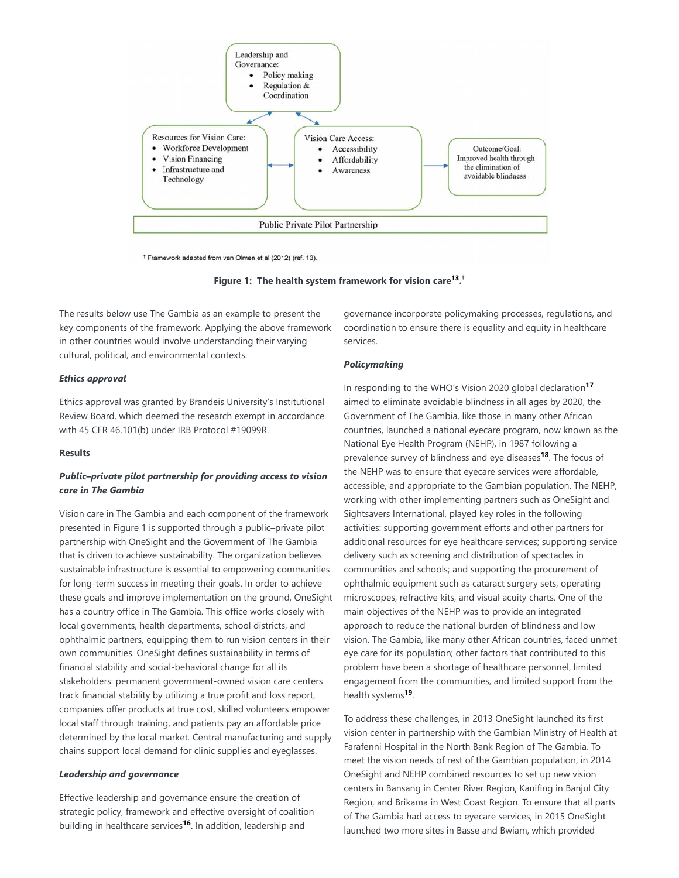

**Figure 1: The health system framework for vision care<sup>13</sup>.**<sup>†</sup>

The results below use The Gambia as an example to present the key components of the framework. Applying the above framework in other countries would involve understanding their varying cultural, political, and environmental contexts.

### *Ethics approval*

Ethics approval was granted by Brandeis University's Institutional Review Board, which deemed the research exempt in accordance with 45 CFR 46.101(b) under IRB Protocol #19099R.

#### **Results**

## *Public–private pilot partnership for providing access to vision care in The Gambia*

Vision care in The Gambia and each component of the framework presented in Figure 1 is supported through a public–private pilot partnership with OneSight and the Government of The Gambia that is driven to achieve sustainability. The organization believes sustainable infrastructure is essential to empowering communities for long-term success in meeting their goals. In order to achieve these goals and improve implementation on the ground, OneSight has a country office in The Gambia. This office works closely with local governments, health departments, school districts, and ophthalmic partners, equipping them to run vision centers in their own communities. OneSight defines sustainability in terms of financial stability and social-behavioral change for all its stakeholders: permanent government-owned vision care centers track financial stability by utilizing a true profit and loss report, companies offer products at true cost, skilled volunteers empower local staff through training, and patients pay an affordable price determined by the local market. Central manufacturing and supply chains support local demand for clinic supplies and eyeglasses.

## *Leadership and governance*

Effective leadership and governance ensure the creation of strategic policy, framework and effective oversight of coalition building in healthcare services<sup>16</sup>. In addition, leadership and

governance incorporate policymaking processes, regulations, and coordination to ensure there is equality and equity in healthcare services.

## *Policymaking*

In responding to the WHO's Vision 2020 global declaration **17** aimed to eliminate avoidable blindness in all ages by 2020, the Government of The Gambia, like those in many other African countries, launched a national eyecare program, now known as the National Eye Health Program (NEHP), in 1987 following a prevalence survey of blindness and eye diseases<sup>18</sup>. The focus of the NEHP was to ensure that eyecare services were affordable, accessible, and appropriate to the Gambian population. The NEHP, working with other implementing partners such as OneSight and Sightsavers International, played key roles in the following activities: supporting government efforts and other partners for additional resources for eye healthcare services; supporting service delivery such as screening and distribution of spectacles in communities and schools; and supporting the procurement of ophthalmic equipment such as cataract surgery sets, operating microscopes, refractive kits, and visual acuity charts. One of the main objectives of the NEHP was to provide an integrated approach to reduce the national burden of blindness and low vision. The Gambia, like many other African countries, faced unmet eye care for its population; other factors that contributed to this problem have been a shortage of healthcare personnel, limited engagement from the communities, and limited support from the health systems<sup>19</sup>.

To address these challenges, in 2013 OneSight launched its first vision center in partnership with the Gambian Ministry of Health at Farafenni Hospital in the North Bank Region of The Gambia. To meet the vision needs of rest of the Gambian population, in 2014 OneSight and NEHP combined resources to set up new vision centers in Bansang in Center River Region, Kanifing in Banjul City Region, and Brikama in West Coast Region. To ensure that all parts of The Gambia had access to eyecare services, in 2015 OneSight launched two more sites in Basse and Bwiam, which provided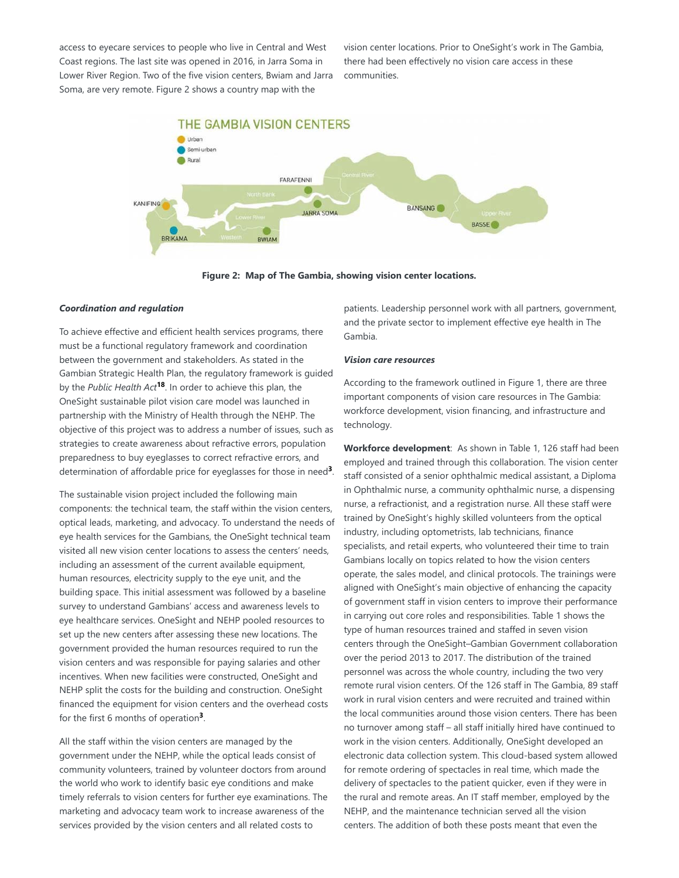access to eyecare services to people who live in Central and West Coast regions. The last site was opened in 2016, in Jarra Soma in Lower River Region. Two of the five vision centers, Bwiam and Jarra Soma, are very remote. Figure 2 shows a country map with the

vision center locations. Prior to OneSight's work in The Gambia, there had been effectively no vision care access in these communities.



**Figure 2: Map of The Gambia, showing vision center locations.**

#### *Coordination and regulation*

To achieve effective and efficient health services programs, there must be a functional regulatory framework and coordination between the government and stakeholders. As stated in the Gambian Strategic Health Plan, the regulatory framework is guided by the Public Health Act<sup>18</sup>. In order to achieve this plan, the OneSight sustainable pilot vision care model was launched in partnership with the Ministry of Health through the NEHP. The objective of this project was to address a number of issues, such as strategies to create awareness about refractive errors, population preparedness to buy eyeglasses to correct refractive errors, and determination of affordable price for eyeglasses for those in need<sup>3</sup>.

The sustainable vision project included the following main components: the technical team, the staff within the vision centers, optical leads, marketing, and advocacy. To understand the needs of eye health services for the Gambians, the OneSight technical team visited all new vision center locations to assess the centers' needs, including an assessment of the current available equipment, human resources, electricity supply to the eye unit, and the building space. This initial assessment was followed by a baseline survey to understand Gambians' access and awareness levels to eye healthcare services. OneSight and NEHP pooled resources to set up the new centers after assessing these new locations. The government provided the human resources required to run the vision centers and was responsible for paying salaries and other incentives. When new facilities were constructed, OneSight and NEHP split the costs for the building and construction. OneSight financed the equipment for vision centers and the overhead costs for the first 6 months of operation<sup>3</sup>.

All the staff within the vision centers are managed by the government under the NEHP, while the optical leads consist of community volunteers, trained by volunteer doctors from around the world who work to identify basic eye conditions and make timely referrals to vision centers for further eye examinations. The marketing and advocacy team work to increase awareness of the services provided by the vision centers and all related costs to

patients. Leadership personnel work with all partners, government, and the private sector to implement effective eye health in The Gambia.

### *Vision care resources*

According to the framework outlined in Figure 1, there are three important components of vision care resources in The Gambia: workforce development, vision financing, and infrastructure and technology.

Workforce development: As shown in Table 1, 126 staff had been employed and trained through this collaboration. The vision center staff consisted of a senior ophthalmic medical assistant, a Diploma in Ophthalmic nurse, a community ophthalmic nurse, a dispensing nurse, a refractionist, and a registration nurse. All these staff were trained by OneSight's highly skilled volunteers from the optical industry, including optometrists, lab technicians, finance specialists, and retail experts, who volunteered their time to train Gambians locally on topics related to how the vision centers operate, the sales model, and clinical protocols. The trainings were aligned with OneSight's main objective of enhancing the capacity of government staff in vision centers to improve their performance in carrying out core roles and responsibilities. Table 1 shows the type of human resources trained and staffed in seven vision centers through the OneSight–Gambian Government collaboration over the period 2013 to 2017. The distribution of the trained personnel was across the whole country, including the two very remote rural vision centers. Of the 126 staff in The Gambia, 89 staff work in rural vision centers and were recruited and trained within the local communities around those vision centers. There has been no turnover among staff – all staff initially hired have continued to work in the vision centers. Additionally, OneSight developed an electronic data collection system. This cloud-based system allowed for remote ordering of spectacles in real time, which made the delivery of spectacles to the patient quicker, even if they were in the rural and remote areas. An IT staff member, employed by the NEHP, and the maintenance technician served all the vision centers. The addition of both these posts meant that even the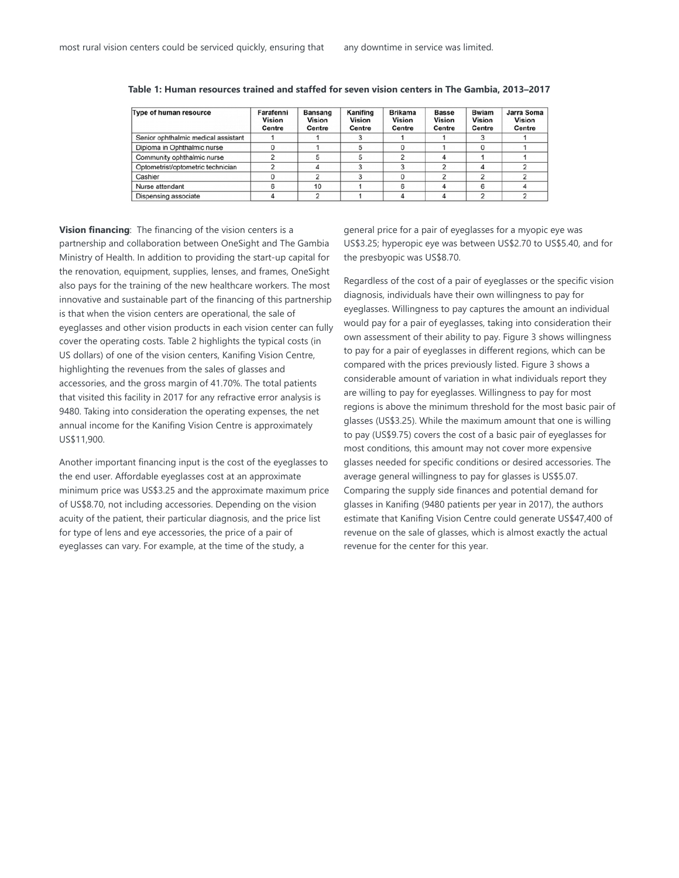| Type of human resource              | Farafenni<br>Vision<br>Centre | <b>Bansang</b><br>Vision<br>Centre | Kanifing<br>Vision<br>Centre | <b>Brikama</b><br>Vision<br>Centre | <b>Basse</b><br>Vision<br>Centre | <b>Bwiam</b><br>Vision<br>Centre | Jarra Soma<br><b>Vision</b><br>Centre |
|-------------------------------------|-------------------------------|------------------------------------|------------------------------|------------------------------------|----------------------------------|----------------------------------|---------------------------------------|
| Senior ophthalmic medical assistant |                               |                                    |                              |                                    |                                  |                                  |                                       |
| Diploma in Ophthalmic nurse         |                               |                                    |                              |                                    |                                  |                                  |                                       |
| Community ophthalmic nurse          |                               |                                    |                              |                                    |                                  |                                  |                                       |
| Optometrist/optometric technician   |                               |                                    |                              | 3                                  |                                  |                                  |                                       |
| Cashier                             |                               |                                    |                              | $\Omega$                           | 2                                |                                  |                                       |
| Nurse attendant                     |                               | 10                                 |                              | 6                                  |                                  |                                  |                                       |
| Dispensing associate                |                               |                                    |                              |                                    |                                  |                                  |                                       |

**Table 1: Human resources trained and staffed for seven vision centers in The Gambia, 2013–2017**

**Vision financing**: The financing of the vision centers is a partnership and collaboration between OneSight and The Gambia Ministry of Health. In addition to providing the start-up capital for the renovation, equipment, supplies, lenses, and frames, OneSight also pays for the training of the new healthcare workers. The most innovative and sustainable part of the financing of this partnership is that when the vision centers are operational, the sale of eyeglasses and other vision products in each vision center can fully cover the operating costs. Table 2 highlights the typical costs (in US dollars) of one of the vision centers, Kanifing Vision Centre, highlighting the revenues from the sales of glasses and accessories, and the gross margin of 41.70%. The total patients that visited this facility in 2017 for any refractive error analysis is 9480. Taking into consideration the operating expenses, the net annual income for the Kanifing Vision Centre is approximately US\$11,900.

Another important financing input is the cost of the eyeglasses to the end user. Affordable eyeglasses cost at an approximate minimum price was US\$3.25 and the approximate maximum price of US\$8.70, not including accessories. Depending on the vision acuity of the patient, their particular diagnosis, and the price list for type of lens and eye accessories, the price of a pair of eyeglasses can vary. For example, at the time of the study, a

general price for a pair of eyeglasses for a myopic eye was US\$3.25; hyperopic eye was between US\$2.70 to US\$5.40, and for the presbyopic was US\$8.70.

Regardless of the cost of a pair of eyeglasses or the specific vision diagnosis, individuals have their own willingness to pay for eyeglasses. Willingness to pay captures the amount an individual would pay for a pair of eyeglasses, taking into consideration their own assessment of their ability to pay. Figure 3 shows willingness to pay for a pair of eyeglasses in different regions, which can be compared with the prices previously listed. Figure 3 shows a considerable amount of variation in what individuals report they are willing to pay for eyeglasses. Willingness to pay for most regions is above the minimum threshold for the most basic pair of glasses (US\$3.25). While the maximum amount that one is willing to pay (US\$9.75) covers the cost of a basic pair of eyeglasses for most conditions, this amount may not cover more expensive glasses needed for specific conditions or desired accessories. The average general willingness to pay for glasses is US\$5.07. Comparing the supply side finances and potential demand for glasses in Kanifing (9480 patients per year in 2017), the authors estimate that Kanifing Vision Centre could generate US\$47,400 of revenue on the sale of glasses, which is almost exactly the actual revenue for the center for this year.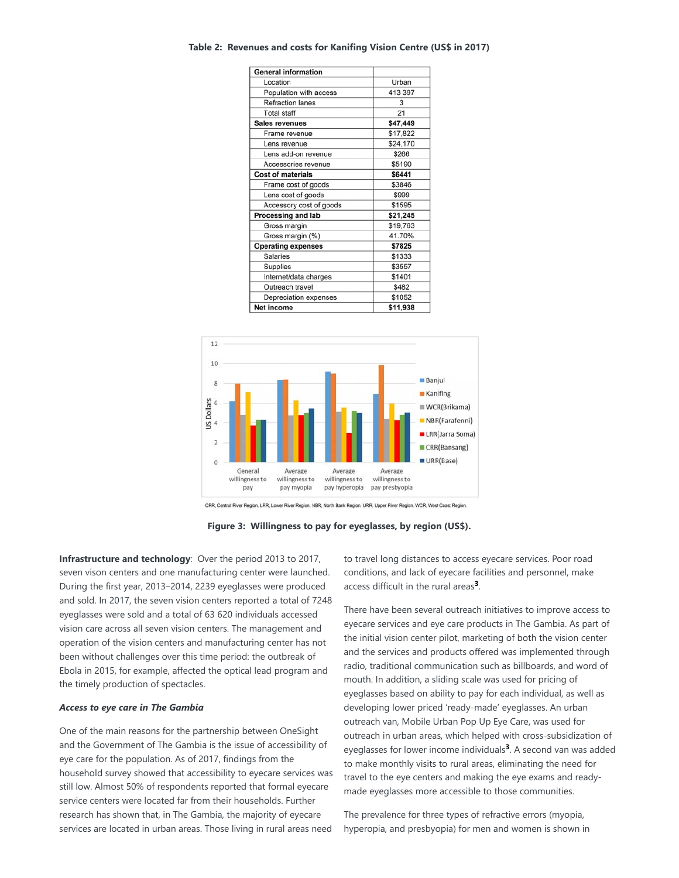#### **Table 2: Revenues and costs for Kanifing Vision Centre (US\$ in 2017)**

| <b>General information</b> |          |  |  |
|----------------------------|----------|--|--|
| Location                   | Urban    |  |  |
| Population with access     | 413 397  |  |  |
| <b>Refraction lanes</b>    | 3        |  |  |
| <b>Total staff</b>         | 21       |  |  |
| <b>Sales revenues</b>      | \$47,449 |  |  |
| Frame revenue              | \$17,822 |  |  |
| Lens revenue               | \$24,170 |  |  |
| Lens add-on revenue        | \$266    |  |  |
| Accessories revenue        | \$5190   |  |  |
| <b>Cost of materials</b>   | \$6441   |  |  |
| Frame cost of goods        | \$3846   |  |  |
| Lens cost of goods         | \$999    |  |  |
| Accessory cost of goods    | \$1595   |  |  |
| Processing and lab         | \$21,245 |  |  |
| Gross margin               | \$19,763 |  |  |
| Gross margin (%)           | 41.70%   |  |  |
| <b>Operating expenses</b>  | \$7825   |  |  |
| <b>Salaries</b>            | \$1333   |  |  |
| Supplies                   | \$3557   |  |  |
| Internet/data charges      | \$1401   |  |  |
| Outreach travel            | \$482    |  |  |
| Depreciation expenses      | \$1052   |  |  |
| Net income                 | \$11,938 |  |  |



CRR, Central River Region, LRR, Lower River Region. NBR, North Bank Region. URR, Upper River Region. WCR, West Coast Region



**Infrastructure and technology:** Over the period 2013 to 2017, seven vison centers and one manufacturing center were launched. During the first year, 2013–2014, 2239 eyeglasses were produced and sold. In 2017, the seven vision centers reported a total of 7248 eyeglasses were sold and a total of 63 620 individuals accessed vision care across all seven vision centers. The management and operation of the vision centers and manufacturing center has not been without challenges over this time period: the outbreak of Ebola in 2015, for example, affected the optical lead program and the timely production of spectacles.

#### *Access to eye care in The Gambia*

One of the main reasons for the partnership between OneSight and the Government of The Gambia is the issue of accessibility of eye care for the population. As of 2017, findings from the household survey showed that accessibility to eyecare services was still low. Almost 50% of respondents reported that formal eyecare service centers were located far from their households. Further research has shown that, in The Gambia, the majority of eyecare services are located in urban areas. Those living in rural areas need

to travel long distances to access eyecare services. Poor road conditions, and lack of eyecare facilities and personnel, make access difficult in the rural areas<sup>3</sup>.

There have been several outreach initiatives to improve access to eyecare services and eye care products in The Gambia. As part of the initial vision center pilot, marketing of both the vision center and the services and products offered was implemented through radio, traditional communication such as billboards, and word of mouth. In addition, a sliding scale was used for pricing of eyeglasses based on ability to pay for each individual, as well as developing lower priced 'ready-made' eyeglasses. An urban outreach van, Mobile Urban Pop Up Eye Care, was used for outreach in urban areas, which helped with cross-subsidization of eyeglasses for lower income individuals<sup>3</sup>. A second van was added to make monthly visits to rural areas, eliminating the need for travel to the eye centers and making the eye exams and readymade eyeglasses more accessible to those communities.

The prevalence for three types of refractive errors (myopia, hyperopia, and presbyopia) for men and women is shown in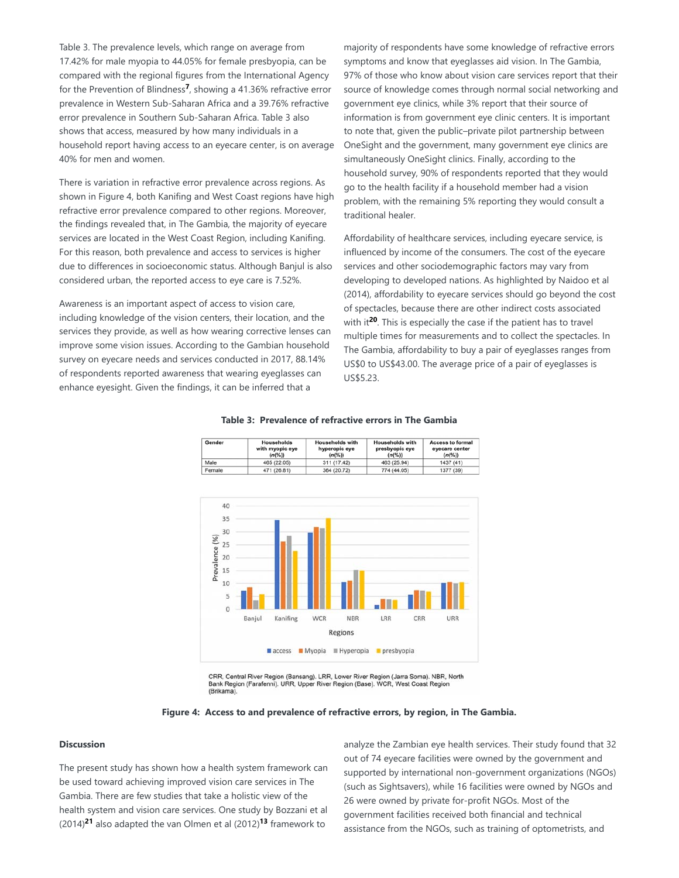Table 3. The prevalence levels, which range on average from 17.42% for male myopia to 44.05% for female presbyopia, can be compared with the regional figures from the International Agency for the Prevention of Blindness<sup>7</sup>, showing a 41.36% refractive error prevalence in Western Sub-Saharan Africa and a 39.76% refractive error prevalence in Southern Sub-Saharan Africa. Table 3 also shows that access, measured by how many individuals in a household report having access to an eyecare center, is on average 40% for men and women.

There is variation in refractive error prevalence across regions. As shown in Figure 4, both Kanifing and West Coast regions have high refractive error prevalence compared to other regions. Moreover, the findings revealed that, in The Gambia, the majority of eyecare services are located in the West Coast Region, including Kanifing. For this reason, both prevalence and access to services is higher due to differences in socioeconomic status. Although Banjul is also considered urban, the reported access to eye care is 7.52%.

Awareness is an important aspect of access to vision care, including knowledge of the vision centers, their location, and the services they provide, as well as how wearing corrective lenses can improve some vision issues. According to the Gambian household survey on eyecare needs and services conducted in 2017, 88.14% of respondents reported awareness that wearing eyeglasses can enhance eyesight. Given the findings, it can be inferred that a

Gende

majority of respondents have some knowledge of refractive errors symptoms and know that eyeglasses aid vision. In The Gambia, 97% of those who know about vision care services report that their source of knowledge comes through normal social networking and government eye clinics, while 3% report that their source of information is from government eye clinic centers. It is important to note that, given the public–private pilot partnership between OneSight and the government, many government eye clinics are simultaneously OneSight clinics. Finally, according to the household survey, 90% of respondents reported that they would go to the health facility if a household member had a vision problem, with the remaining 5% reporting they would consult a traditional healer.

Affordability of healthcare services, including eyecare service, is influenced by income of the consumers. The cost of the eyecare services and other sociodemographic factors may vary from developing to developed nations. As highlighted by Naidoo et al (2014), affordability to eyecare services should go beyond the cost of spectacles, because there are other indirect costs associated with it<sup>20</sup>. This is especially the case if the patient has to travel multiple times for measurements and to collect the spectacles. In The Gambia, affordability to buy a pair of eyeglasses ranges from US\$0 to US\$43.00. The average price of a pair of eyeglasses is US\$5.23.

**Access to formal** 

eyecare center



# **Table 3: Prevalence of refractive errors in The Gambia** useholds with

hyperopic eye

**Households with** 

CRR, Central River Region (Bansang). LRR, Lower River Region (Jarra Soma). NBR, North CRR, Central River Region (Bansang). LRR, Lower River Region (Jarra Soma). NBR, I<br>Bank Region (Farafenni). URR, Upper River Region (Base). WCR, West Coast Region<br>(Brikama).



#### **Discussion**

The present study has shown how a health system framework can be used toward achieving improved vision care services in The Gambia. There are few studies that take a holistic view of the health system and vision care services. One study by Bozzani et al  $(2014)^{21}$  also adapted the van Olmen et al  $(2012)^{13}$  framework to

analyze the Zambian eye health services. Their study found that 32 out of 74 eyecare facilities were owned by the government and supported by international non-government organizations (NGOs) (such as Sightsavers), while 16 facilities were owned by NGOs and 26 were owned by private for-profit NGOs. Most of the government facilities received both financial and technical assistance from the NGOs, such as training of optometrists, and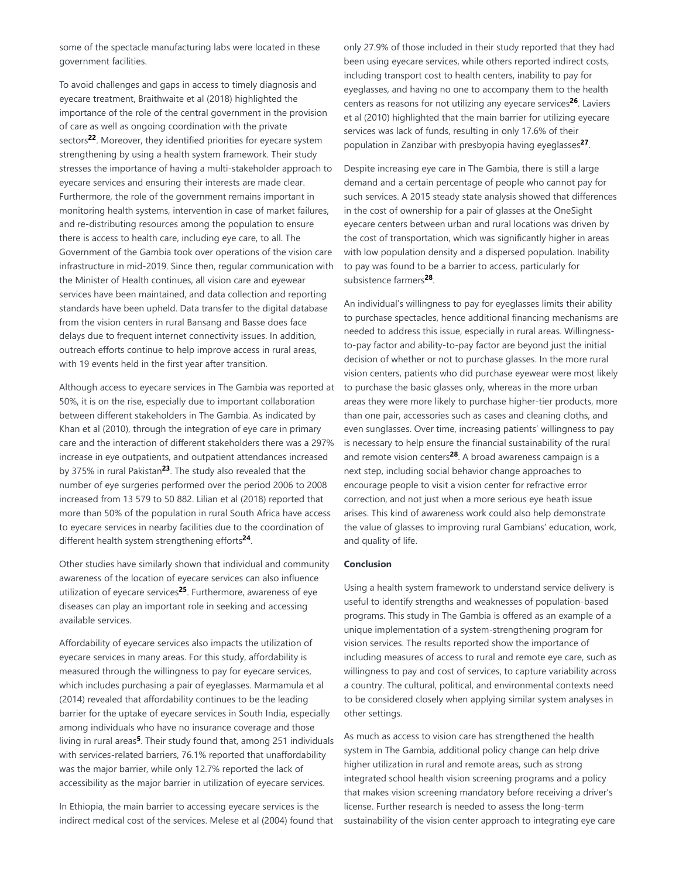some of the spectacle manufacturing labs were located in these government facilities.

To avoid challenges and gaps in access to timely diagnosis and eyecare treatment, Braithwaite et al (2018) highlighted the importance of the role of the central government in the provision of care as well as ongoing coordination with the private sectors<sup>22</sup>. Moreover, they identified priorities for eyecare system strengthening by using a health system framework. Their study stresses the importance of having a multi-stakeholder approach to eyecare services and ensuring their interests are made clear. Furthermore, the role of the government remains important in monitoring health systems, intervention in case of market failures, and re-distributing resources among the population to ensure there is access to health care, including eye care, to all. The Government of the Gambia took over operations of the vision care infrastructure in mid-2019. Since then, regular communication with the Minister of Health continues, all vision care and eyewear services have been maintained, and data collection and reporting standards have been upheld. Data transfer to the digital database from the vision centers in rural Bansang and Basse does face delays due to frequent internet connectivity issues. In addition, outreach efforts continue to help improve access in rural areas, with 19 events held in the first year after transition.

Although access to eyecare services in The Gambia was reported at 50%, it is on the rise, especially due to important collaboration between different stakeholders in The Gambia. As indicated by Khan et al (2010), through the integration of eye care in primary care and the interaction of different stakeholders there was a 297% increase in eye outpatients, and outpatient attendances increased by 375% in rural Pakistan<sup>23</sup>. The study also revealed that the number of eye surgeries performed over the period 2006 to 2008 increased from 13 579 to 50 882. Lilian et al (2018) reported that more than 50% of the population in rural South Africa have access to eyecare services in nearby facilities due to the coordination of different health system strengthening efforts<sup>24</sup>.

Other studies have similarly shown that individual and community awareness of the location of eyecare services can also influence utilization of eyecare services<sup>25</sup>. Furthermore, awareness of eye diseases can play an important role in seeking and accessing available services.

Affordability of eyecare services also impacts the utilization of eyecare services in many areas. For this study, affordability is measured through the willingness to pay for eyecare services, which includes purchasing a pair of eyeglasses. Marmamula et al (2014) revealed that affordability continues to be the leading barrier for the uptake of eyecare services in South India, especially among individuals who have no insurance coverage and those living in rural areas<sup>5</sup>. Their study found that, among 251 individuals with services-related barriers, 76.1% reported that unaffordability was the major barrier, while only 12.7% reported the lack of accessibility as the major barrier in utilization of eyecare services.

In Ethiopia, the main barrier to accessing eyecare services is the indirect medical cost of the services. Melese et al (2004) found that only 27.9% of those included in their study reported that they had been using eyecare services, while others reported indirect costs, including transport cost to health centers, inability to pay for eyeglasses, and having no one to accompany them to the health centers as reasons for not utilizing any eyecare services<sup>26</sup>. Laviers et al (2010) highlighted that the main barrier for utilizing eyecare services was lack of funds, resulting in only 17.6% of their population in Zanzibar with presbyopia having eyeglasses<sup>27</sup>.

Despite increasing eye care in The Gambia, there is still a large demand and a certain percentage of people who cannot pay for such services. A 2015 steady state analysis showed that differences in the cost of ownership for a pair of glasses at the OneSight eyecare centers between urban and rural locations was driven by the cost of transportation, which was significantly higher in areas with low population density and a dispersed population. Inability to pay was found to be a barrier to access, particularly for subsistence farmers<sup>28</sup>.

An individual's willingness to pay for eyeglasses limits their ability to purchase spectacles, hence additional financing mechanisms are needed to address this issue, especially in rural areas. Willingnessto-pay factor and ability-to-pay factor are beyond just the initial decision of whether or not to purchase glasses. In the more rural vision centers, patients who did purchase eyewear were most likely to purchase the basic glasses only, whereas in the more urban areas they were more likely to purchase higher-tier products, more than one pair, accessories such as cases and cleaning cloths, and even sunglasses. Over time, increasing patients' willingness to pay is necessary to help ensure the financial sustainability of the rural and remote vision centers<sup>28</sup>. A broad awareness campaign is a next step, including social behavior change approaches to encourage people to visit a vision center for refractive error correction, and not just when a more serious eye heath issue arises. This kind of awareness work could also help demonstrate the value of glasses to improving rural Gambians' education, work, and quality of life.

#### **Conclusion**

Using a health system framework to understand service delivery is useful to identify strengths and weaknesses of population-based programs. This study in The Gambia is offered as an example of a unique implementation of a system-strengthening program for vision services. The results reported show the importance of including measures of access to rural and remote eye care, such as willingness to pay and cost of services, to capture variability across a country. The cultural, political, and environmental contexts need to be considered closely when applying similar system analyses in other settings.

As much as access to vision care has strengthened the health system in The Gambia, additional policy change can help drive higher utilization in rural and remote areas, such as strong integrated school health vision screening programs and a policy that makes vision screening mandatory before receiving a driver's license. Further research is needed to assess the long-term sustainability of the vision center approach to integrating eye care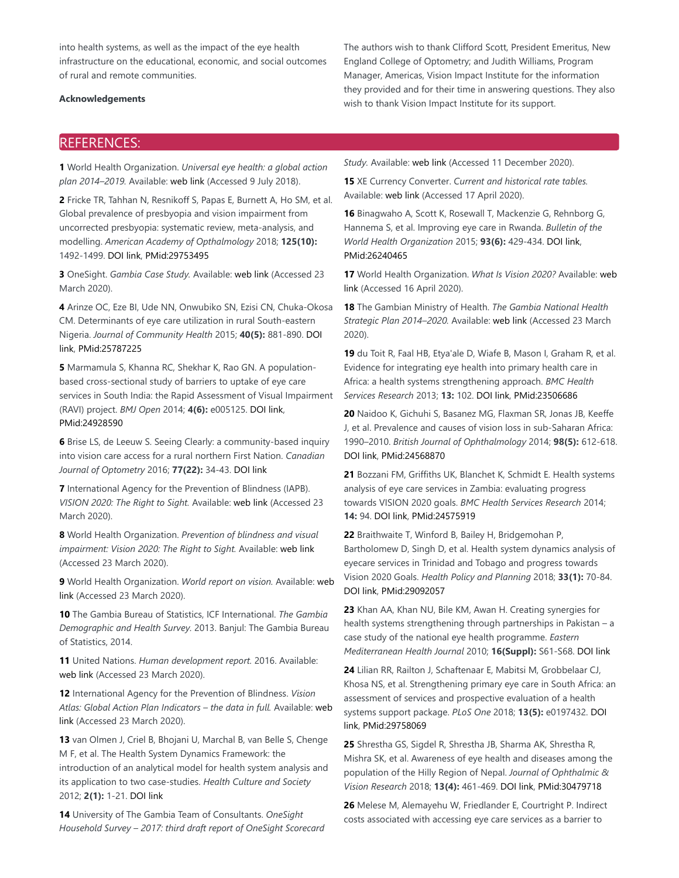into health systems, as well as the impact of the eye health infrastructure on the educational, economic, and social outcomes of rural and remote communities.

#### **Acknowledgements**

The authors wish to thank Clifford Scott, President Emeritus, New England College of Optometry; and Judith Williams, Program Manager, Americas, Vision Impact Institute for the information they provided and for their time in answering questions. They also wish to thank Vision Impact Institute for its support.

## REFERENCES:

**1** World Health Organization. *Universal eye health: a global action plan 2014–2019.* Available: web link (Accessed 9 July 2018).

**2** Fricke TR, Tahhan N, Resnikoff S, Papas E, Burnett A, Ho SM, et al. Global prevalence of presbyopia and vision impairment from uncorrected presbyopia: systematic review, meta-analysis, and modelling. *American Academy of Opthalmology* 2018; **125(10):** 1492-1499. DOI link, PMid:29753495

**3** OneSight. *Gambia Case Study.* Available: web link (Accessed 23 March 2020).

**4** Arinze OC, Eze BI, Ude NN, Onwubiko SN, Ezisi CN, Chuka-Okosa CM. Determinants of eye care utilization in rural South-eastern Nigeria. *Journal of Community Health* 2015; **40(5):** 881-890. DOI link, PMid:25787225

**5** Marmamula S, Khanna RC, Shekhar K, Rao GN. A populationbased cross-sectional study of barriers to uptake of eye care services in South India: the Rapid Assessment of Visual Impairment (RAVI) project. *BMJ Open* 2014; **4(6):** e005125. DOI link, PMid:24928590

**6** Brise LS, de Leeuw S. Seeing Clearly: a community-based inquiry into vision care access for a rural northern First Nation. *Canadian Journal of Optometry* 2016; **77(22):** 34-43. DOI link

**7** International Agency for the Prevention of Blindness (IAPB). *VISION 2020: The Right to Sight.* Available: web link (Accessed 23 March 2020).

**8** World Health Organization. *Prevention of blindness and visual impairment: Vision 2020: The Right to Sight.* Available: web link (Accessed 23 March 2020).

**9** World Health Organization. *World report on vision.* Available: web link (Accessed 23 March 2020).

**10** The Gambia Bureau of Statistics, ICF International. *The Gambia Demographic and Health Survey.* 2013. Banjul: The Gambia Bureau of Statistics, 2014.

**11** United Nations. *Human development report.* 2016. Available: web link (Accessed 23 March 2020).

**12** International Agency for the Prevention of Blindness. *Vision Atlas: Global Action Plan Indicators – the data in full.* Available: web link (Accessed 23 March 2020).

**13** van Olmen J, Criel B, Bhojani U, Marchal B, van Belle S, Chenge M F, et al. The Health System Dynamics Framework: the introduction of an analytical model for health system analysis and its application to two case-studies. *Health Culture and Society* 2012; **2(1):** 1-21. DOI link

**14** University of The Gambia Team of Consultants. *OneSight Household Survey – 2017: third draft report of OneSight Scorecard* *Study.* Available: web link (Accessed 11 December 2020).

**15** XE Currency Converter. *Current and historical rate tables.* Available: web link (Accessed 17 April 2020).

**16** Binagwaho A, Scott K, Rosewall T, Mackenzie G, Rehnborg G, Hannema S, et al. Improving eye care in Rwanda. *Bulletin of the World Health Organization* 2015; **93(6):** 429-434. DOI link, PMid:26240465

**17** World Health Organization. *What Is Vision 2020?* Available: web link (Accessed 16 April 2020).

**18** The Gambian Ministry of Health. *The Gambia National Health Strategic Plan 2014–2020.* Available: web link (Accessed 23 March 2020).

**19** du Toit R, Faal HB, Etya'ale D, Wiafe B, Mason I, Graham R, et al. Evidence for integrating eye health into primary health care in Africa: a health systems strengthening approach. *BMC Health Services Research* 2013; **13:** 102. DOI link, PMid:23506686

**20** Naidoo K, Gichuhi S, Basanez MG, Flaxman SR, Jonas JB, Keeffe J, et al. Prevalence and causes of vision loss in sub-Saharan Africa: 1990–2010. *British Journal of Ophthalmology* 2014; **98(5):** 612-618. DOI link, PMid:24568870

**21** Bozzani FM, Griffiths UK, Blanchet K, Schmidt E. Health systems analysis of eye care services in Zambia: evaluating progress towards VISION 2020 goals. *BMC Health Services Research* 2014; **14:** 94. DOI link, PMid:24575919

**22** Braithwaite T, Winford B, Bailey H, Bridgemohan P, Bartholomew D, Singh D, et al. Health system dynamics analysis of eyecare services in Trinidad and Tobago and progress towards Vision 2020 Goals. *Health Policy and Planning* 2018; **33(1):** 70-84. DOI link, PMid:29092057

**23** Khan AA, Khan NU, Bile KM, Awan H. Creating synergies for health systems strengthening through partnerships in Pakistan – a case study of the national eye health programme. *Eastern Mediterranean Health Journal* 2010; **16(Suppl):** S61-S68. DOI link

**24** Lilian RR, Railton J, Schaftenaar E, Mabitsi M, Grobbelaar CJ, Khosa NS, et al. Strengthening primary eye care in South Africa: an assessment of services and prospective evaluation of a health systems support package. *PLoS One* 2018; **13(5):** e0197432. DOI link, PMid:29758069

**25** Shrestha GS, Sigdel R, Shrestha JB, Sharma AK, Shrestha R, Mishra SK, et al. Awareness of eye health and diseases among the population of the Hilly Region of Nepal. *Journal of Ophthalmic & Vision Research* 2018; **13(4):** 461-469. DOI link, PMid:30479718

**26** Melese M, Alemayehu W, Friedlander E, Courtright P. Indirect costs associated with accessing eye care services as a barrier to